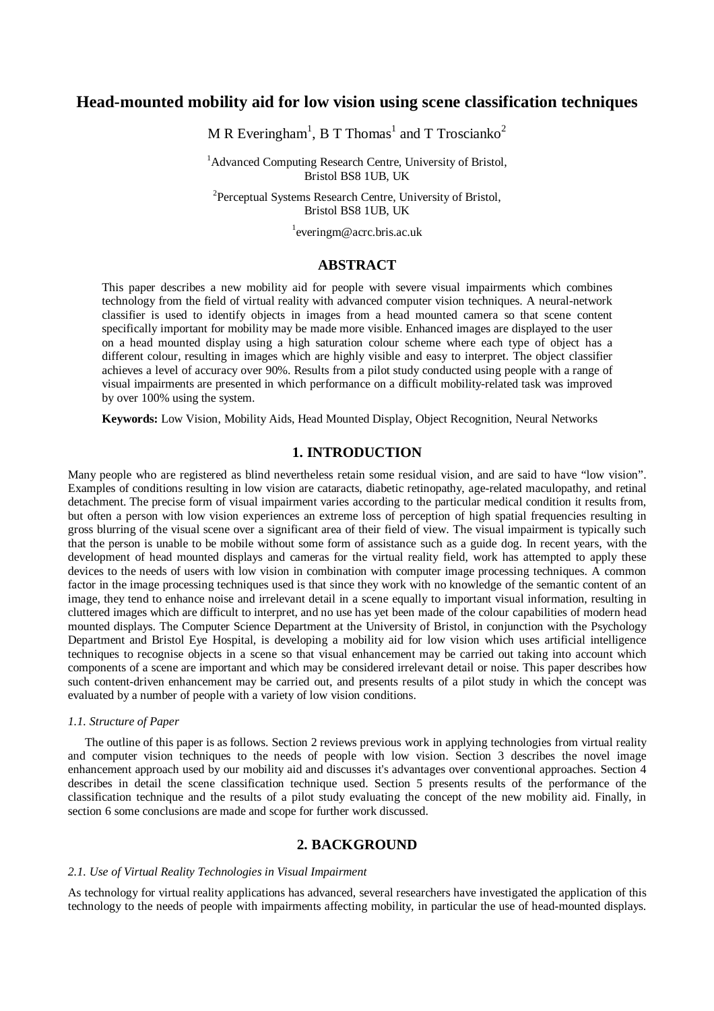# **Head-mounted mobility aid for low vision using scene classification techniques**

M R Everingham<sup>1</sup>, B T Thomas<sup>1</sup> and T Troscianko<sup>2</sup>

<sup>1</sup>Advanced Computing Research Centre, University of Bristol, Bristol BS8 1UB, UK

<sup>2</sup>Perceptual Systems Research Centre, University of Bristol, Bristol BS8 1UB, UK

1 everingm@acrc.bris.ac.uk

### **ABSTRACT**

This paper describes a new mobility aid for people with severe visual impairments which combines technology from the field of virtual reality with advanced computer vision techniques. A neural-network classifier is used to identify objects in images from a head mounted camera so that scene content specifically important for mobility may be made more visible. Enhanced images are displayed to the user on a head mounted display using a high saturation colour scheme where each type of object has a different colour, resulting in images which are highly visible and easy to interpret. The object classifier achieves a level of accuracy over 90%. Results from a pilot study conducted using people with a range of visual impairments are presented in which performance on a difficult mobility-related task was improved by over 100% using the system.

**Keywords:** Low Vision, Mobility Aids, Head Mounted Display, Object Recognition, Neural Networks

# **1. INTRODUCTION**

Many people who are registered as blind nevertheless retain some residual vision, and are said to have "low vision". Examples of conditions resulting in low vision are cataracts, diabetic retinopathy, age-related maculopathy, and retinal detachment. The precise form of visual impairment varies according to the particular medical condition it results from, but often a person with low vision experiences an extreme loss of perception of high spatial frequencies resulting in gross blurring of the visual scene over a significant area of their field of view. The visual impairment is typically such that the person is unable to be mobile without some form of assistance such as a guide dog. In recent years, with the development of head mounted displays and cameras for the virtual reality field, work has attempted to apply these devices to the needs of users with low vision in combination with computer image processing techniques. A common factor in the image processing techniques used is that since they work with no knowledge of the semantic content of an image, they tend to enhance noise and irrelevant detail in a scene equally to important visual information, resulting in cluttered images which are difficult to interpret, and no use has yet been made of the colour capabilities of modern head mounted displays. The Computer Science Department at the University of Bristol, in conjunction with the Psychology Department and Bristol Eye Hospital, is developing a mobility aid for low vision which uses artificial intelligence techniques to recognise objects in a scene so that visual enhancement may be carried out taking into account which components of a scene are important and which may be considered irrelevant detail or noise. This paper describes how such content-driven enhancement may be carried out, and presents results of a pilot study in which the concept was evaluated by a number of people with a variety of low vision conditions.

# *1.1. Structure of Paper*

The outline of this paper is as follows. Section 2 reviews previous work in applying technologies from virtual reality and computer vision techniques to the needs of people with low vision. Section 3 describes the novel image enhancement approach used by our mobility aid and discusses it's advantages over conventional approaches. Section 4 describes in detail the scene classification technique used. Section 5 presents results of the performance of the classification technique and the results of a pilot study evaluating the concept of the new mobility aid. Finally, in section 6 some conclusions are made and scope for further work discussed.

# **2. BACKGROUND**

#### *2.1. Use of Virtual Reality Technologies in Visual Impairment*

As technology for virtual reality applications has advanced, several researchers have investigated the application of this technology to the needs of people with impairments affecting mobility, in particular the use of head-mounted displays.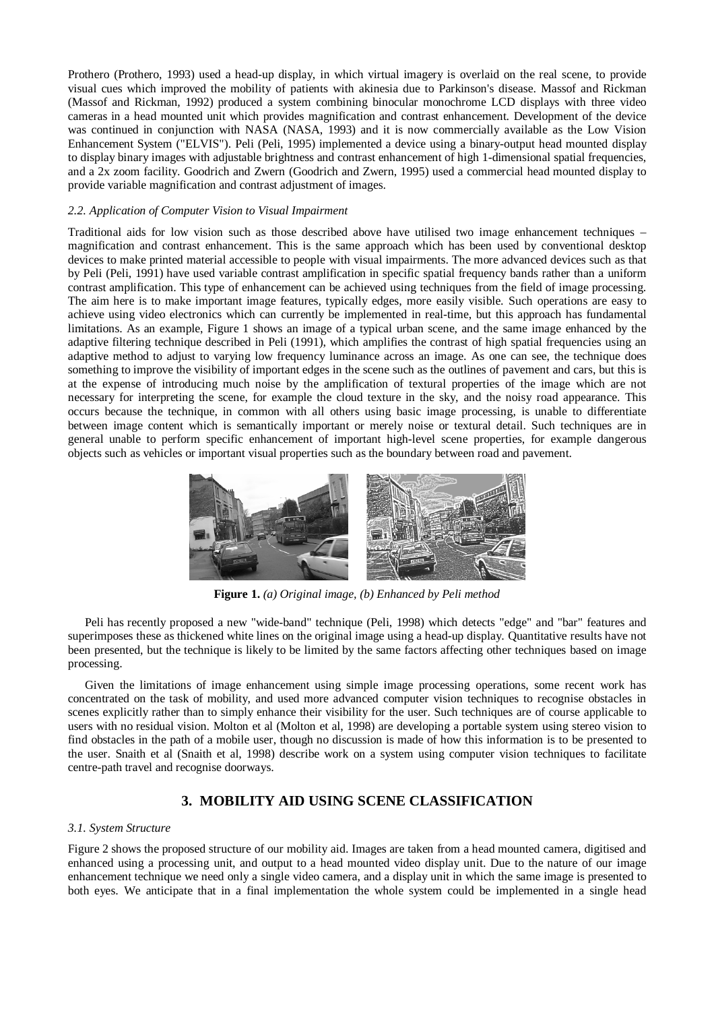Prothero (Prothero, 1993) used a head-up display, in which virtual imagery is overlaid on the real scene, to provide visual cues which improved the mobility of patients with akinesia due to Parkinson's disease. Massof and Rickman (Massof and Rickman, 1992) produced a system combining binocular monochrome LCD displays with three video cameras in a head mounted unit which provides magnification and contrast enhancement. Development of the device was continued in conjunction with NASA (NASA, 1993) and it is now commercially available as the Low Vision Enhancement System ("ELVIS"). Peli (Peli, 1995) implemented a device using a binary-output head mounted display to display binary images with adjustable brightness and contrast enhancement of high 1-dimensional spatial frequencies, and a 2x zoom facility. Goodrich and Zwern (Goodrich and Zwern, 1995) used a commercial head mounted display to provide variable magnification and contrast adjustment of images.

### *2.2. Application of Computer Vision to Visual Impairment*

Traditional aids for low vision such as those described above have utilised two image enhancement techniques – magnification and contrast enhancement. This is the same approach which has been used by conventional desktop devices to make printed material accessible to people with visual impairments. The more advanced devices such as that by Peli (Peli, 1991) have used variable contrast amplification in specific spatial frequency bands rather than a uniform contrast amplification. This type of enhancement can be achieved using techniques from the field of image processing. The aim here is to make important image features, typically edges, more easily visible. Such operations are easy to achieve using video electronics which can currently be implemented in real-time, but this approach has fundamental limitations. As an example, Figure 1 shows an image of a typical urban scene, and the same image enhanced by the adaptive filtering technique described in Peli (1991), which amplifies the contrast of high spatial frequencies using an adaptive method to adjust to varying low frequency luminance across an image. As one can see, the technique does something to improve the visibility of important edges in the scene such as the outlines of pavement and cars, but this is at the expense of introducing much noise by the amplification of textural properties of the image which are not necessary for interpreting the scene, for example the cloud texture in the sky, and the noisy road appearance. This occurs because the technique, in common with all others using basic image processing, is unable to differentiate between image content which is semantically important or merely noise or textural detail. Such techniques are in general unable to perform specific enhancement of important high-level scene properties, for example dangerous objects such as vehicles or important visual properties such as the boundary between road and pavement.



**Figure 1.** *(a) Original image, (b) Enhanced by Peli method*

Peli has recently proposed a new "wide-band" technique (Peli, 1998) which detects "edge" and "bar" features and superimposes these as thickened white lines on the original image using a head-up display. Quantitative results have not been presented, but the technique is likely to be limited by the same factors affecting other techniques based on image processing.

Given the limitations of image enhancement using simple image processing operations, some recent work has concentrated on the task of mobility, and used more advanced computer vision techniques to recognise obstacles in scenes explicitly rather than to simply enhance their visibility for the user. Such techniques are of course applicable to users with no residual vision. Molton et al (Molton et al, 1998) are developing a portable system using stereo vision to find obstacles in the path of a mobile user, though no discussion is made of how this information is to be presented to the user. Snaith et al (Snaith et al, 1998) describe work on a system using computer vision techniques to facilitate centre-path travel and recognise doorways.

# **3. MOBILITY AID USING SCENE CLASSIFICATION**

### *3.1. System Structure*

Figure 2 shows the proposed structure of our mobility aid. Images are taken from a head mounted camera, digitised and enhanced using a processing unit, and output to a head mounted video display unit. Due to the nature of our image enhancement technique we need only a single video camera, and a display unit in which the same image is presented to both eyes. We anticipate that in a final implementation the whole system could be implemented in a single head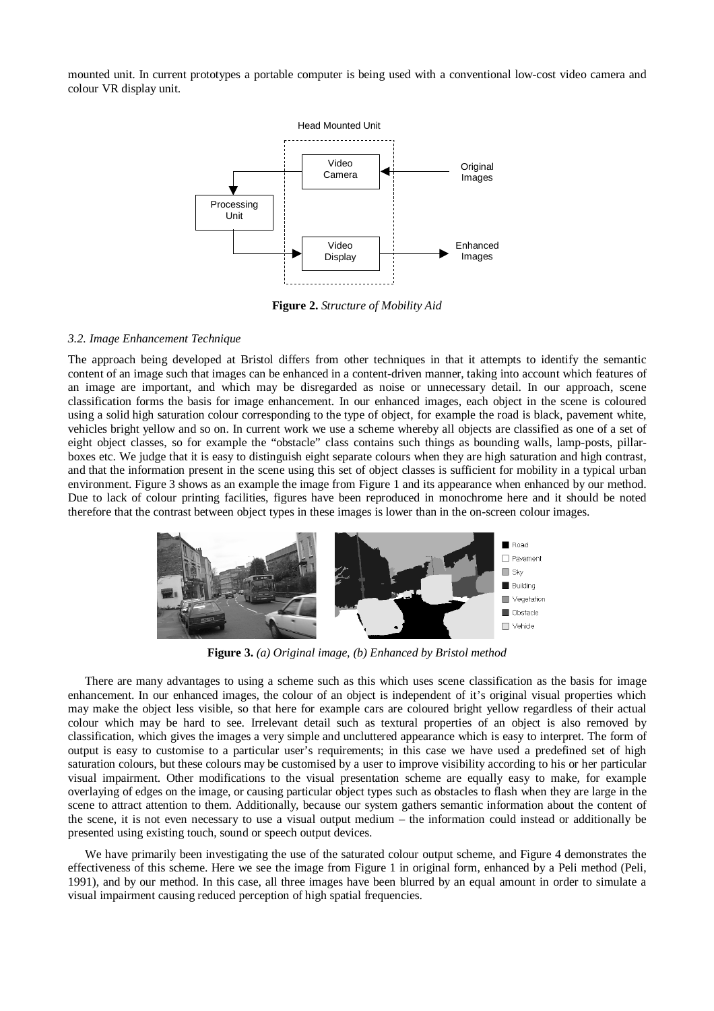mounted unit. In current prototypes a portable computer is being used with a conventional low-cost video camera and colour VR display unit.



**Figure 2.** *Structure of Mobility Aid*

# *3.2. Image Enhancement Technique*

The approach being developed at Bristol differs from other techniques in that it attempts to identify the semantic content of an image such that images can be enhanced in a content-driven manner, taking into account which features of an image are important, and which may be disregarded as noise or unnecessary detail. In our approach, scene classification forms the basis for image enhancement. In our enhanced images, each object in the scene is coloured using a solid high saturation colour corresponding to the type of object, for example the road is black, pavement white, vehicles bright yellow and so on. In current work we use a scheme whereby all objects are classified as one of a set of eight object classes, so for example the "obstacle" class contains such things as bounding walls, lamp-posts, pillarboxes etc. We judge that it is easy to distinguish eight separate colours when they are high saturation and high contrast, and that the information present in the scene using this set of object classes is sufficient for mobility in a typical urban environment. Figure 3 shows as an example the image from Figure 1 and its appearance when enhanced by our method. Due to lack of colour printing facilities, figures have been reproduced in monochrome here and it should be noted therefore that the contrast between object types in these images is lower than in the on-screen colour images.



**Figure 3.** *(a) Original image, (b) Enhanced by Bristol method*

There are many advantages to using a scheme such as this which uses scene classification as the basis for image enhancement. In our enhanced images, the colour of an object is independent of it's original visual properties which may make the object less visible, so that here for example cars are coloured bright yellow regardless of their actual colour which may be hard to see. Irrelevant detail such as textural properties of an object is also removed by classification, which gives the images a very simple and uncluttered appearance which is easy to interpret. The form of output is easy to customise to a particular user's requirements; in this case we have used a predefined set of high saturation colours, but these colours may be customised by a user to improve visibility according to his or her particular visual impairment. Other modifications to the visual presentation scheme are equally easy to make, for example overlaying of edges on the image, or causing particular object types such as obstacles to flash when they are large in the scene to attract attention to them. Additionally, because our system gathers semantic information about the content of the scene, it is not even necessary to use a visual output medium – the information could instead or additionally be presented using existing touch, sound or speech output devices.

We have primarily been investigating the use of the saturated colour output scheme, and Figure 4 demonstrates the effectiveness of this scheme. Here we see the image from Figure 1 in original form, enhanced by a Peli method (Peli, 1991), and by our method. In this case, all three images have been blurred by an equal amount in order to simulate a visual impairment causing reduced perception of high spatial frequencies.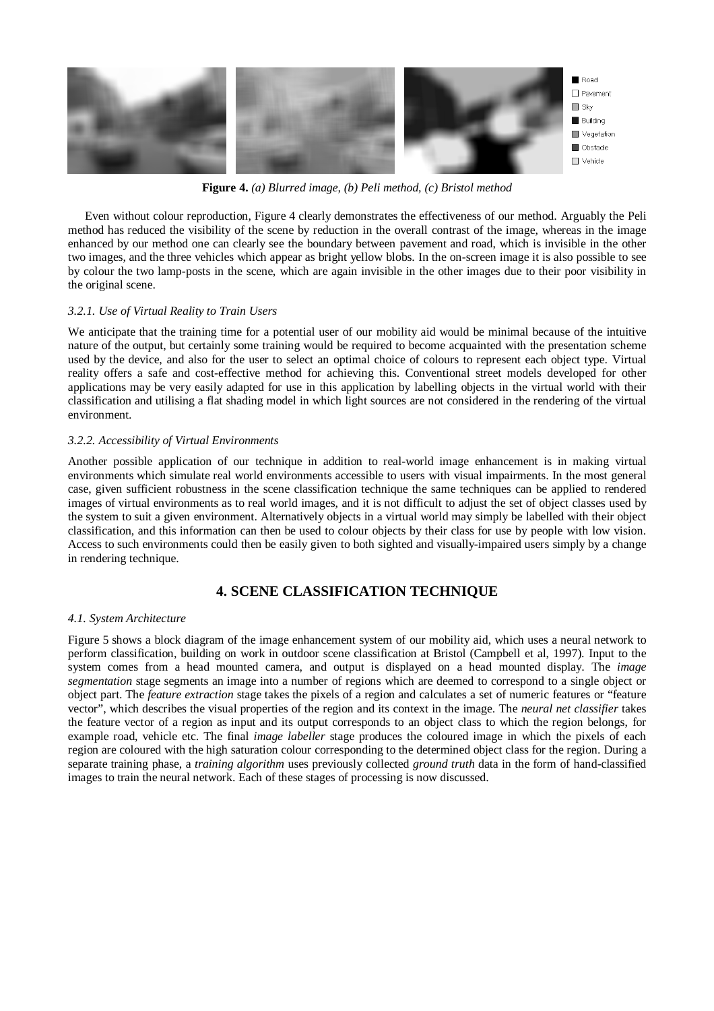

**Figure 4.** *(a) Blurred image, (b) Peli method, (c) Bristol method*

Even without colour reproduction, Figure 4 clearly demonstrates the effectiveness of our method. Arguably the Peli method has reduced the visibility of the scene by reduction in the overall contrast of the image, whereas in the image enhanced by our method one can clearly see the boundary between pavement and road, which is invisible in the other two images, and the three vehicles which appear as bright yellow blobs. In the on-screen image it is also possible to see by colour the two lamp-posts in the scene, which are again invisible in the other images due to their poor visibility in the original scene.

# *3.2.1. Use of Virtual Reality to Train Users*

We anticipate that the training time for a potential user of our mobility aid would be minimal because of the intuitive nature of the output, but certainly some training would be required to become acquainted with the presentation scheme used by the device, and also for the user to select an optimal choice of colours to represent each object type. Virtual reality offers a safe and cost-effective method for achieving this. Conventional street models developed for other applications may be very easily adapted for use in this application by labelling objects in the virtual world with their classification and utilising a flat shading model in which light sources are not considered in the rendering of the virtual environment.

# *3.2.2. Accessibility of Virtual Environments*

Another possible application of our technique in addition to real-world image enhancement is in making virtual environments which simulate real world environments accessible to users with visual impairments. In the most general case, given sufficient robustness in the scene classification technique the same techniques can be applied to rendered images of virtual environments as to real world images, and it is not difficult to adjust the set of object classes used by the system to suit a given environment. Alternatively objects in a virtual world may simply be labelled with their object classification, and this information can then be used to colour objects by their class for use by people with low vision. Access to such environments could then be easily given to both sighted and visually-impaired users simply by a change in rendering technique.

# **4. SCENE CLASSIFICATION TECHNIQUE**

#### *4.1. System Architecture*

Figure 5 shows a block diagram of the image enhancement system of our mobility aid, which uses a neural network to perform classification, building on work in outdoor scene classification at Bristol (Campbell et al, 1997). Input to the system comes from a head mounted camera, and output is displayed on a head mounted display. The *image segmentation* stage segments an image into a number of regions which are deemed to correspond to a single object or object part. The *feature extraction* stage takes the pixels of a region and calculates a set of numeric features or "feature vector", which describes the visual properties of the region and its context in the image. The *neural net classifier* takes the feature vector of a region as input and its output corresponds to an object class to which the region belongs, for example road, vehicle etc. The final *image labeller* stage produces the coloured image in which the pixels of each region are coloured with the high saturation colour corresponding to the determined object class for the region. During a separate training phase, a *training algorithm* uses previously collected *ground truth* data in the form of hand-classified images to train the neural network. Each of these stages of processing is now discussed.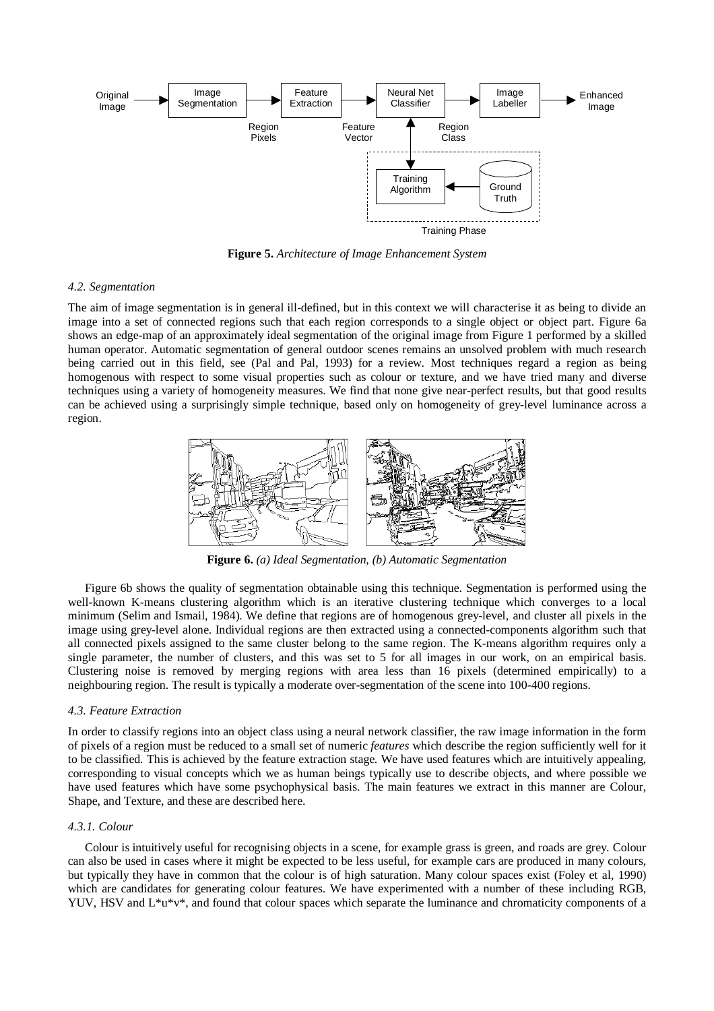

**Figure 5.** *Architecture of Image Enhancement System*

### *4.2. Segmentation*

The aim of image segmentation is in general ill-defined, but in this context we will characterise it as being to divide an image into a set of connected regions such that each region corresponds to a single object or object part. Figure 6a shows an edge-map of an approximately ideal segmentation of the original image from Figure 1 performed by a skilled human operator. Automatic segmentation of general outdoor scenes remains an unsolved problem with much research being carried out in this field, see (Pal and Pal, 1993) for a review. Most techniques regard a region as being homogenous with respect to some visual properties such as colour or texture, and we have tried many and diverse techniques using a variety of homogeneity measures. We find that none give near-perfect results, but that good results can be achieved using a surprisingly simple technique, based only on homogeneity of grey-level luminance across a region.



**Figure 6.** *(a) Ideal Segmentation, (b) Automatic Segmentation*

Figure 6b shows the quality of segmentation obtainable using this technique. Segmentation is performed using the well-known K-means clustering algorithm which is an iterative clustering technique which converges to a local minimum (Selim and Ismail, 1984). We define that regions are of homogenous grey-level, and cluster all pixels in the image using grey-level alone. Individual regions are then extracted using a connected-components algorithm such that all connected pixels assigned to the same cluster belong to the same region. The K-means algorithm requires only a single parameter, the number of clusters, and this was set to 5 for all images in our work, on an empirical basis. Clustering noise is removed by merging regions with area less than 16 pixels (determined empirically) to a neighbouring region. The result is typically a moderate over-segmentation of the scene into 100-400 regions.

#### *4.3. Feature Extraction*

In order to classify regions into an object class using a neural network classifier, the raw image information in the form of pixels of a region must be reduced to a small set of numeric *features* which describe the region sufficiently well for it to be classified. This is achieved by the feature extraction stage. We have used features which are intuitively appealing, corresponding to visual concepts which we as human beings typically use to describe objects, and where possible we have used features which have some psychophysical basis. The main features we extract in this manner are Colour, Shape, and Texture, and these are described here.

# *4.3.1. Colour*

Colour is intuitively useful for recognising objects in a scene, for example grass is green, and roads are grey. Colour can also be used in cases where it might be expected to be less useful, for example cars are produced in many colours, but typically they have in common that the colour is of high saturation. Many colour spaces exist (Foley et al, 1990) which are candidates for generating colour features. We have experimented with a number of these including RGB, YUV, HSV and L\*u\*v\*, and found that colour spaces which separate the luminance and chromaticity components of a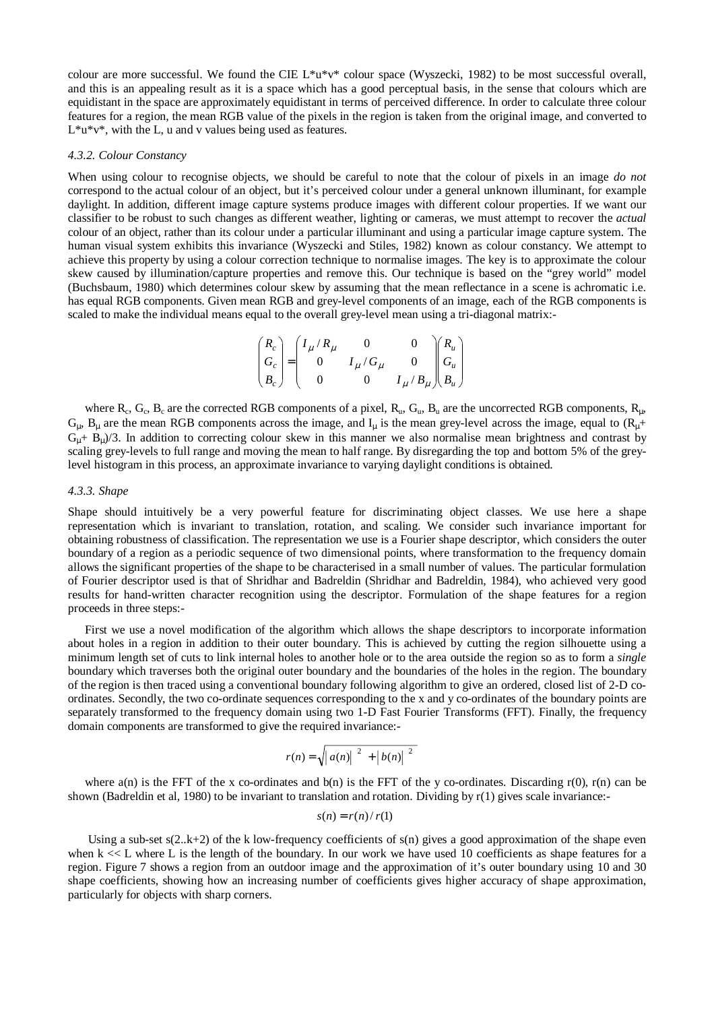colour are more successful. We found the CIE  $L^*u^*v^*$  colour space (Wyszecki, 1982) to be most successful overall, and this is an appealing result as it is a space which has a good perceptual basis, in the sense that colours which are equidistant in the space are approximately equidistant in terms of perceived difference. In order to calculate three colour features for a region, the mean RGB value of the pixels in the region is taken from the original image, and converted to  $L^*u^*v^*$ , with the L, u and v values being used as features.

### *4.3.2. Colour Constancy*

When using colour to recognise objects, we should be careful to note that the colour of pixels in an image *do not* correspond to the actual colour of an object, but it's perceived colour under a general unknown illuminant, for example daylight. In addition, different image capture systems produce images with different colour properties. If we want our classifier to be robust to such changes as different weather, lighting or cameras, we must attempt to recover the *actual* colour of an object, rather than its colour under a particular illuminant and using a particular image capture system. The human visual system exhibits this invariance (Wyszecki and Stiles, 1982) known as colour constancy. We attempt to achieve this property by using a colour correction technique to normalise images. The key is to approximate the colour skew caused by illumination/capture properties and remove this. Our technique is based on the "grey world" model (Buchsbaum, 1980) which determines colour skew by assuming that the mean reflectance in a scene is achromatic i.e. has equal RGB components. Given mean RGB and grey-level components of an image, each of the RGB components is scaled to make the individual means equal to the overall grey-level mean using a tri-diagonal matrix:-

$$
\begin{pmatrix} R_c \\ G_c \\ B_c \end{pmatrix} = \begin{pmatrix} I_\mu / R_\mu & 0 & 0 \\ 0 & I_\mu / G_\mu & 0 \\ 0 & 0 & I_\mu / B_\mu \end{pmatrix} \begin{pmatrix} R_u \\ G_u \\ B_u \end{pmatrix}
$$

where  $R_c$ ,  $G_c$ ,  $B_c$  are the corrected RGB components of a pixel,  $R_u$ ,  $G_u$ ,  $B_u$  are the uncorrected RGB components,  $R_u$ ,  $G_{\mu}$ ,  $B_{\mu}$  are the mean RGB components across the image, and  $I_{\mu}$  is the mean grey-level across the image, equal to ( $R_{\mu}$ +  $G<sub>u</sub> + B<sub>u</sub>$ )/3. In addition to correcting colour skew in this manner we also normalise mean brightness and contrast by scaling grey-levels to full range and moving the mean to half range. By disregarding the top and bottom 5% of the greylevel histogram in this process, an approximate invariance to varying daylight conditions is obtained.

#### *4.3.3. Shape*

Shape should intuitively be a very powerful feature for discriminating object classes. We use here a shape representation which is invariant to translation, rotation, and scaling. We consider such invariance important for obtaining robustness of classification. The representation we use is a Fourier shape descriptor, which considers the outer boundary of a region as a periodic sequence of two dimensional points, where transformation to the frequency domain allows the significant properties of the shape to be characterised in a small number of values. The particular formulation of Fourier descriptor used is that of Shridhar and Badreldin (Shridhar and Badreldin, 1984), who achieved very good results for hand-written character recognition using the descriptor. Formulation of the shape features for a region proceeds in three steps:-

First we use a novel modification of the algorithm which allows the shape descriptors to incorporate information about holes in a region in addition to their outer boundary. This is achieved by cutting the region silhouette using a minimum length set of cuts to link internal holes to another hole or to the area outside the region so as to form a *single* boundary which traverses both the original outer boundary and the boundaries of the holes in the region. The boundary of the region is then traced using a conventional boundary following algorithm to give an ordered, closed list of 2-D coordinates. Secondly, the two co-ordinate sequences corresponding to the x and y co-ordinates of the boundary points are separately transformed to the frequency domain using two 1-D Fast Fourier Transforms (FFT). Finally, the frequency domain components are transformed to give the required invariance:-

$$
r(n) = \sqrt{|a(n)|^2 + |b(n)|^2}
$$

where  $a(n)$  is the FFT of the x co-ordinates and  $b(n)$  is the FFT of the y co-ordinates. Discarding r(0), r(n) can be shown (Badreldin et al, 1980) to be invariant to translation and rotation. Dividing by  $r(1)$  gives scale invariance:-

$$
s(n) = r(n)/r(1)
$$

Using a sub-set  $s(2..k+2)$  of the k low-frequency coefficients of  $s(n)$  gives a good approximation of the shape even when k << L where L is the length of the boundary. In our work we have used 10 coefficients as shape features for a region. Figure 7 shows a region from an outdoor image and the approximation of it's outer boundary using 10 and 30 shape coefficients, showing how an increasing number of coefficients gives higher accuracy of shape approximation, particularly for objects with sharp corners.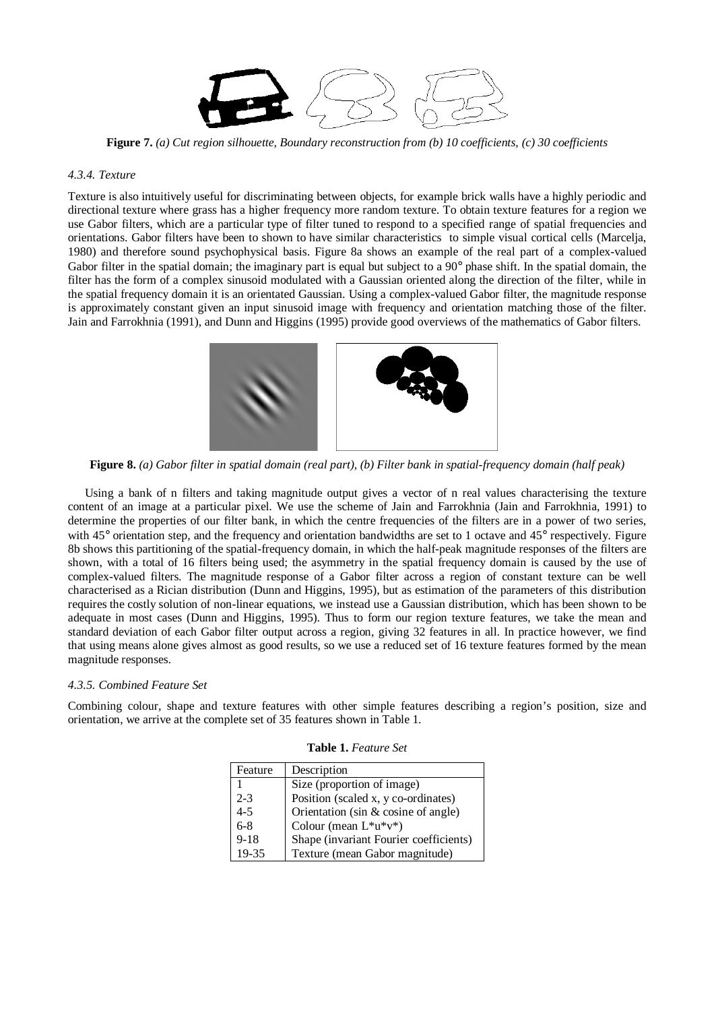

**Figure 7.** *(a) Cut region silhouette, Boundary reconstruction from (b) 10 coefficients, (c) 30 coefficients*

### *4.3.4. Texture*

Texture is also intuitively useful for discriminating between objects, for example brick walls have a highly periodic and directional texture where grass has a higher frequency more random texture. To obtain texture features for a region we use Gabor filters, which are a particular type of filter tuned to respond to a specified range of spatial frequencies and orientations. Gabor filters have been to shown to have similar characteristics to simple visual cortical cells (Marcelja, 1980) and therefore sound psychophysical basis. Figure 8a shows an example of the real part of a complex-valued Gabor filter in the spatial domain; the imaginary part is equal but subject to a 90° phase shift. In the spatial domain, the filter has the form of a complex sinusoid modulated with a Gaussian oriented along the direction of the filter, while in the spatial frequency domain it is an orientated Gaussian. Using a complex-valued Gabor filter, the magnitude response is approximately constant given an input sinusoid image with frequency and orientation matching those of the filter. Jain and Farrokhnia (1991), and Dunn and Higgins (1995) provide good overviews of the mathematics of Gabor filters.



**Figure 8.** *(a) Gabor filter in spatial domain (real part), (b) Filter bank in spatial-frequency domain (half peak)*

Using a bank of n filters and taking magnitude output gives a vector of n real values characterising the texture content of an image at a particular pixel. We use the scheme of Jain and Farrokhnia (Jain and Farrokhnia, 1991) to determine the properties of our filter bank, in which the centre frequencies of the filters are in a power of two series, with 45° orientation step, and the frequency and orientation bandwidths are set to 1 octave and 45° respectively. Figure 8b shows this partitioning of the spatial-frequency domain, in which the half-peak magnitude responses of the filters are shown, with a total of 16 filters being used; the asymmetry in the spatial frequency domain is caused by the use of complex-valued filters. The magnitude response of a Gabor filter across a region of constant texture can be well characterised as a Rician distribution (Dunn and Higgins, 1995), but as estimation of the parameters of this distribution requires the costly solution of non-linear equations, we instead use a Gaussian distribution, which has been shown to be adequate in most cases (Dunn and Higgins, 1995). Thus to form our region texture features, we take the mean and standard deviation of each Gabor filter output across a region, giving 32 features in all. In practice however, we find that using means alone gives almost as good results, so we use a reduced set of 16 texture features formed by the mean magnitude responses.

### *4.3.5. Combined Feature Set*

Combining colour, shape and texture features with other simple features describing a region's position, size and orientation, we arrive at the complete set of 35 features shown in Table 1.

| Feature  | Description                            |
|----------|----------------------------------------|
|          | Size (proportion of image)             |
| $2 - 3$  | Position (scaled x, y co-ordinates)    |
| $4 - 5$  | Orientation (sin $&$ cosine of angle)  |
| $6 - 8$  | Colour (mean $L^*u^*v^*$ )             |
| $9 - 18$ | Shape (invariant Fourier coefficients) |
| 19-35    | Texture (mean Gabor magnitude)         |

**Table 1.** *Feature Set*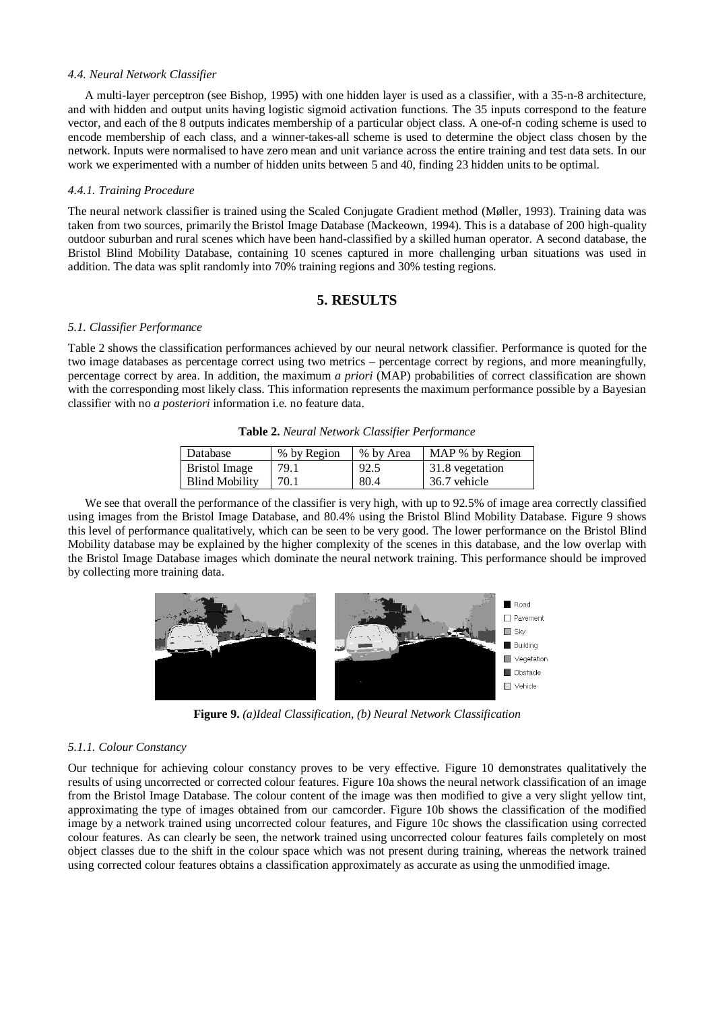### *4.4. Neural Network Classifier*

A multi-layer perceptron (see Bishop, 1995) with one hidden layer is used as a classifier, with a 35-n-8 architecture, and with hidden and output units having logistic sigmoid activation functions. The 35 inputs correspond to the feature vector, and each of the 8 outputs indicates membership of a particular object class. A one-of-n coding scheme is used to encode membership of each class, and a winner-takes-all scheme is used to determine the object class chosen by the network. Inputs were normalised to have zero mean and unit variance across the entire training and test data sets. In our work we experimented with a number of hidden units between 5 and 40, finding 23 hidden units to be optimal.

# *4.4.1. Training Procedure*

The neural network classifier is trained using the Scaled Conjugate Gradient method (Møller, 1993). Training data was taken from two sources, primarily the Bristol Image Database (Mackeown, 1994). This is a database of 200 high-quality outdoor suburban and rural scenes which have been hand-classified by a skilled human operator. A second database, the Bristol Blind Mobility Database, containing 10 scenes captured in more challenging urban situations was used in addition. The data was split randomly into 70% training regions and 30% testing regions.

# **5. RESULTS**

# *5.1. Classifier Performance*

Table 2 shows the classification performances achieved by our neural network classifier. Performance is quoted for the two image databases as percentage correct using two metrics – percentage correct by regions, and more meaningfully, percentage correct by area. In addition, the maximum *a priori* (MAP) probabilities of correct classification are shown with the corresponding most likely class. This information represents the maximum performance possible by a Bayesian classifier with no *a posteriori* information i.e. no feature data.

|  |  |  |  | Table 2. Neural Network Classifier Performance |
|--|--|--|--|------------------------------------------------|
|--|--|--|--|------------------------------------------------|

| Database              | % by Region | % by Area | MAP % by Region |
|-----------------------|-------------|-----------|-----------------|
| Bristol Image         | 79.1        | 92.5      | 31.8 vegetation |
| <b>Blind Mobility</b> | 70.1        | 80.4      | 36.7 vehicle    |

We see that overall the performance of the classifier is very high, with up to 92.5% of image area correctly classified using images from the Bristol Image Database, and 80.4% using the Bristol Blind Mobility Database. Figure 9 shows this level of performance qualitatively, which can be seen to be very good. The lower performance on the Bristol Blind Mobility database may be explained by the higher complexity of the scenes in this database, and the low overlap with the Bristol Image Database images which dominate the neural network training. This performance should be improved by collecting more training data.



**Figure 9.** *(a)Ideal Classification, (b) Neural Network Classification*

### *5.1.1. Colour Constancy*

Our technique for achieving colour constancy proves to be very effective. Figure 10 demonstrates qualitatively the results of using uncorrected or corrected colour features. Figure 10a shows the neural network classification of an image from the Bristol Image Database. The colour content of the image was then modified to give a very slight yellow tint, approximating the type of images obtained from our camcorder. Figure 10b shows the classification of the modified image by a network trained using uncorrected colour features, and Figure 10c shows the classification using corrected colour features. As can clearly be seen, the network trained using uncorrected colour features fails completely on most object classes due to the shift in the colour space which was not present during training, whereas the network trained using corrected colour features obtains a classification approximately as accurate as using the unmodified image.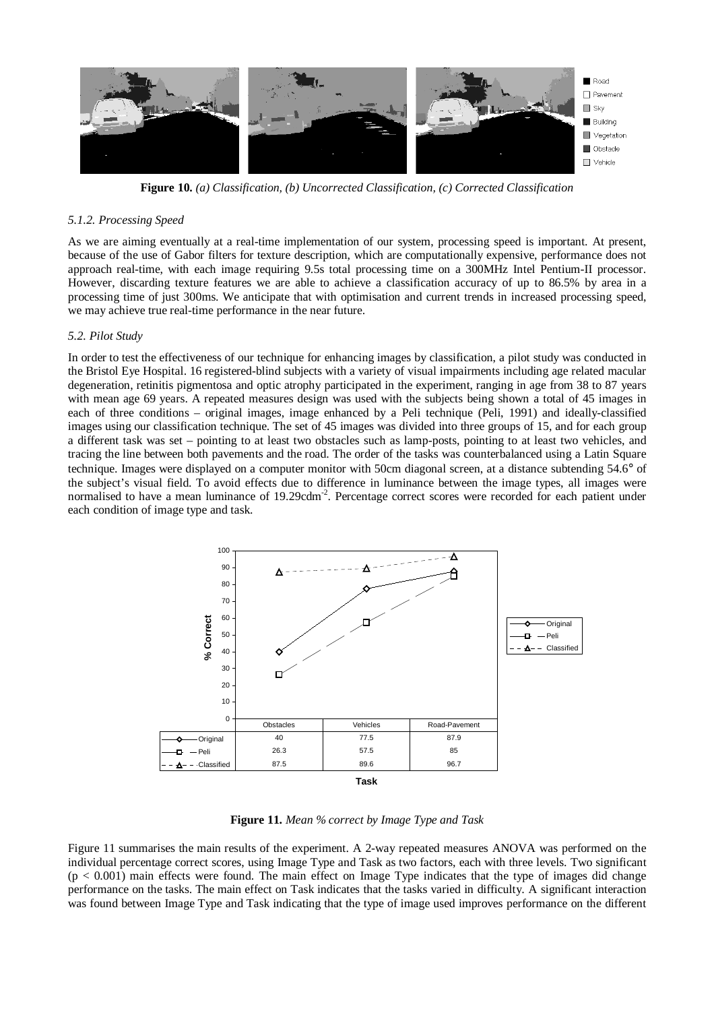

**Figure 10.** *(a) Classification, (b) Uncorrected Classification, (c) Corrected Classification*

#### *5.1.2. Processing Speed*

As we are aiming eventually at a real-time implementation of our system, processing speed is important. At present, because of the use of Gabor filters for texture description, which are computationally expensive, performance does not approach real-time, with each image requiring 9.5s total processing time on a 300MHz Intel Pentium-II processor. However, discarding texture features we are able to achieve a classification accuracy of up to 86.5% by area in a processing time of just 300ms. We anticipate that with optimisation and current trends in increased processing speed, we may achieve true real-time performance in the near future.

## *5.2. Pilot Study*

In order to test the effectiveness of our technique for enhancing images by classification, a pilot study was conducted in the Bristol Eye Hospital. 16 registered-blind subjects with a variety of visual impairments including age related macular degeneration, retinitis pigmentosa and optic atrophy participated in the experiment, ranging in age from 38 to 87 years with mean age 69 years. A repeated measures design was used with the subjects being shown a total of 45 images in each of three conditions – original images, image enhanced by a Peli technique (Peli, 1991) and ideally-classified images using our classification technique. The set of 45 images was divided into three groups of 15, and for each group a different task was set – pointing to at least two obstacles such as lamp-posts, pointing to at least two vehicles, and tracing the line between both pavements and the road. The order of the tasks was counterbalanced using a Latin Square technique. Images were displayed on a computer monitor with 50cm diagonal screen, at a distance subtending 54.6° of the subject's visual field. To avoid effects due to difference in luminance between the image types, all images were normalised to have a mean luminance of 19.29cdm<sup>-2</sup>. Percentage correct scores were recorded for each patient under each condition of image type and task.



**Figure 11.** *Mean % correct by Image Type and Task*

Figure 11 summarises the main results of the experiment. A 2-way repeated measures ANOVA was performed on the individual percentage correct scores, using Image Type and Task as two factors, each with three levels. Two significant  $(p < 0.001)$  main effects were found. The main effect on Image Type indicates that the type of images did change performance on the tasks. The main effect on Task indicates that the tasks varied in difficulty. A significant interaction was found between Image Type and Task indicating that the type of image used improves performance on the different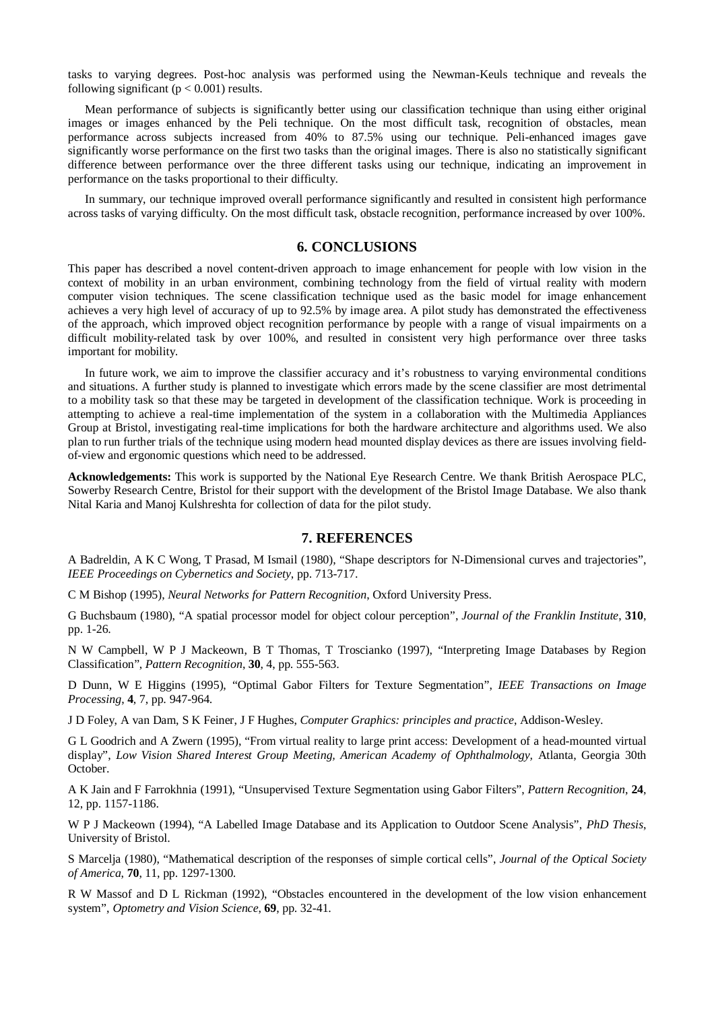tasks to varying degrees. Post-hoc analysis was performed using the Newman-Keuls technique and reveals the following significant ( $p < 0.001$ ) results.

Mean performance of subjects is significantly better using our classification technique than using either original images or images enhanced by the Peli technique. On the most difficult task, recognition of obstacles, mean performance across subjects increased from 40% to 87.5% using our technique. Peli-enhanced images gave significantly worse performance on the first two tasks than the original images. There is also no statistically significant difference between performance over the three different tasks using our technique, indicating an improvement in performance on the tasks proportional to their difficulty.

In summary, our technique improved overall performance significantly and resulted in consistent high performance across tasks of varying difficulty. On the most difficult task, obstacle recognition, performance increased by over 100%.

# **6. CONCLUSIONS**

This paper has described a novel content-driven approach to image enhancement for people with low vision in the context of mobility in an urban environment, combining technology from the field of virtual reality with modern computer vision techniques. The scene classification technique used as the basic model for image enhancement achieves a very high level of accuracy of up to 92.5% by image area. A pilot study has demonstrated the effectiveness of the approach, which improved object recognition performance by people with a range of visual impairments on a difficult mobility-related task by over 100%, and resulted in consistent very high performance over three tasks important for mobility.

In future work, we aim to improve the classifier accuracy and it's robustness to varying environmental conditions and situations. A further study is planned to investigate which errors made by the scene classifier are most detrimental to a mobility task so that these may be targeted in development of the classification technique. Work is proceeding in attempting to achieve a real-time implementation of the system in a collaboration with the Multimedia Appliances Group at Bristol, investigating real-time implications for both the hardware architecture and algorithms used. We also plan to run further trials of the technique using modern head mounted display devices as there are issues involving fieldof-view and ergonomic questions which need to be addressed.

**Acknowledgements:** This work is supported by the National Eye Research Centre. We thank British Aerospace PLC, Sowerby Research Centre, Bristol for their support with the development of the Bristol Image Database. We also thank Nital Karia and Manoj Kulshreshta for collection of data for the pilot study.

#### **7. REFERENCES**

A Badreldin, A K C Wong, T Prasad, M Ismail (1980), "Shape descriptors for N-Dimensional curves and trajectories", *IEEE Proceedings on Cybernetics and Society*, pp. 713-717.

C M Bishop (1995), *Neural Networks for Pattern Recognition*, Oxford University Press.

G Buchsbaum (1980), "A spatial processor model for object colour perception", *Journal of the Franklin Institute*, **310**, pp. 1-26.

N W Campbell, W P J Mackeown, B T Thomas, T Troscianko (1997), "Interpreting Image Databases by Region Classification", *Pattern Recognition*, **30**, 4, pp. 555-563.

D Dunn, W E Higgins (1995), "Optimal Gabor Filters for Texture Segmentation", *IEEE Transactions on Image Processing*, **4**, 7, pp. 947-964.

J D Foley, A van Dam, S K Feiner, J F Hughes, *Computer Graphics: principles and practice*, Addison-Wesley.

G L Goodrich and A Zwern (1995), "From virtual reality to large print access: Development of a head-mounted virtual display", *Low Vision Shared Interest Group Meeting, American Academy of Ophthalmology,* Atlanta, Georgia 30th October.

A K Jain and F Farrokhnia (1991), "Unsupervised Texture Segmentation using Gabor Filters", *Pattern Recognition*, **24**, 12, pp. 1157-1186.

W P J Mackeown (1994), "A Labelled Image Database and its Application to Outdoor Scene Analysis", *PhD Thesis*, University of Bristol.

S Marcelja (1980), "Mathematical description of the responses of simple cortical cells", *Journal of the Optical Society of America*, **70**, 11, pp. 1297-1300.

R W Massof and D L Rickman (1992), "Obstacles encountered in the development of the low vision enhancement system", *Optometry and Vision Science*, **69**, pp. 32-41.